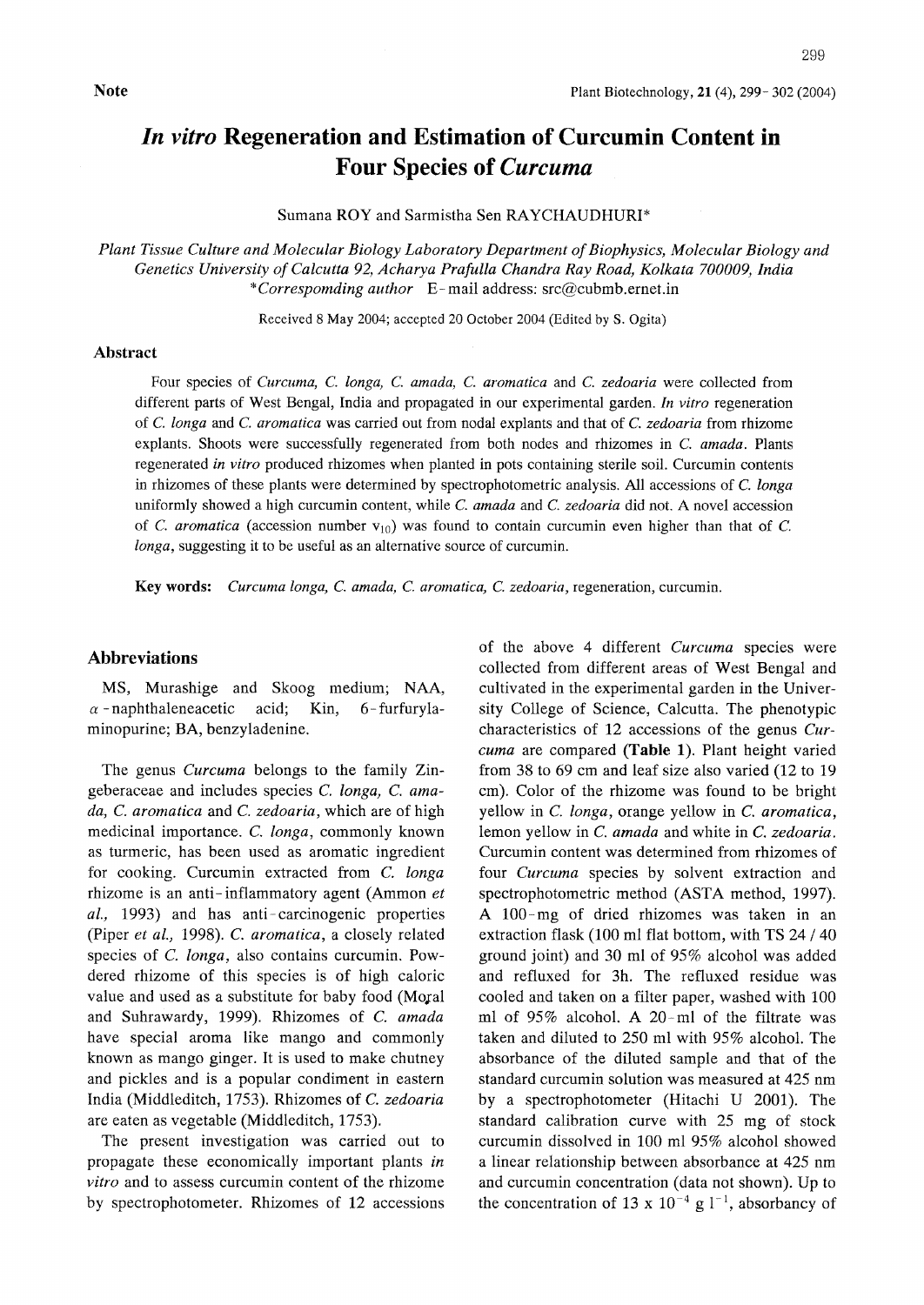# In vitro Regeneration and Estimation of Curcumin Content in Four Species of Curcuma

Sumana ROY and Sarmistha Sen RAYCHAUDHURI\*

Plant Tissue Culture and Molecular Biology Laboratory Department of Biophysics, Molecular Biology and Genetics University of Calcutta 92, Acharya Prafulla Chandra Ray Road, Kolkata 700009, India \*Correspomding author E-mail address: src@cubmb.ernet.in

Received 8 May 2004; accepted 20 October 2004 (Edited by S. Ogita)

#### Abstraet

Four species of Curcuma, C. longa, C. amada, C. aromatica and C. zedoaria were collected from different parts of West Bengal, India and propagated in our experimental garden. In vitro regeneration of C. longa and C. aromatica was carried out from nodal explants and that of C. zedoaria from rhizome explants. Shoots were successfully regenerated from both nodes and rhizomes in C. amada. Plants regenerated in vitro produced rhizomes when planted in pots containing sterile soil. Curcumin contents in rhizomes of these plants were determined by spectrophotometric analysis. All accessions of C. longa uniformly showed a high curcumin content, while C. amada and C. zedoaria did not. A novel accession of C. aromatica (accession number  $v_{10}$ ) was found to contain curcumin even higher than that of C. longa, suggesting it to be useful as an alternative source of curcumin.

Key words: Curcuma longa. C. amada, C. aromatica, C. zedoaria, regeneration, curcumin.

#### Abbreviations

MS, Murashige and Skoog medium; NAA,  $\alpha$  -naphthaleneacetic acid; Kin, 6-furfurylaminopurine; BA, benzyladenine.

The genus Curcuma belongs to the family Zingeberaceae and includes species C. longa, C. amada, C. aromatica and C. zedoaria, which are of high medicinal importance. C. Ionga, commonly known as turmeric, has been used as aromatic ingredient for cooking. Curcumin extracted from C. Ionga rhizome is an anti-inflammatory agent (Ammon  $et$  $al.,$  1993) and has anti-carcinogenic properties (Piper et al., 1998). C. aromatica, a closely related species of C. Ionga, also contains curcumin. Powdered rhizome of this species is of high caloric value and used as a substitute for baby food (Moral and Suhrawardy, 1999). Rhizomes of C. amada have special aroma like mango and commonly known as mango ginger. It is used to make chutney and pickles and is a popular condiment in eastern India (Middleditch, 1753). Rhizomes of C. zedoaria are eaten as vegetable (Middleditch, 1753).

The present investigation was carried out to propagate these economically important plants in vitro and to assess curcumin content of the rhizome by spectrophotometer. Rhizomes of 12 accessions

of the above 4 different Curcuma species were collected from different areas of West Bengal and eultivated in the experimental garden in the University College of Science, Calcutta. The phenotypic characteristics of 12 accessions of the genus Curcuma are compared (Table 1). Plant height varied from 38 to 69 cm and leaf size also varied (12 to <sup>19</sup> cm). Color of the rhizome was found to be bright yellow in C. Ionga, orange yellow in C. aromatica, lemon yellow in C, amada and white in C. zedoaria. Curcumin content was determined from rhizomes of four Curcuma species by solvent extraction and spectrophotometric method (ASTA method, 1997). A 100-mg of dried rhizomes was taken in an extraction flask (100 ml flat bottom, with TS <sup>24</sup> /<sup>40</sup> ground joint) and 30 ml of 95% alcohol was added and refluxed for 3h. The refluxed residue was cooled and taken on a filter paper, washed with 100 ml of 95% alcohol. A 20-ml of the filtrate was taken and diluted to 250 ml with 95% alcohol. The absorbance of the diluted sample and that of the standard curcumin solution was measured at 425 nm by a spectrophotometer (Hitachi U 2001). The standard calibration curve with <sup>25</sup> mg of stock curcumin dissolved in 100 ml 95% alcohol showed a linear relationship between absorbance at 425 nm and curcumin concentration (data not shown). Up to the concentration of 13 x  $10^{-4}$  g  $1^{-1}$ , absorbancy of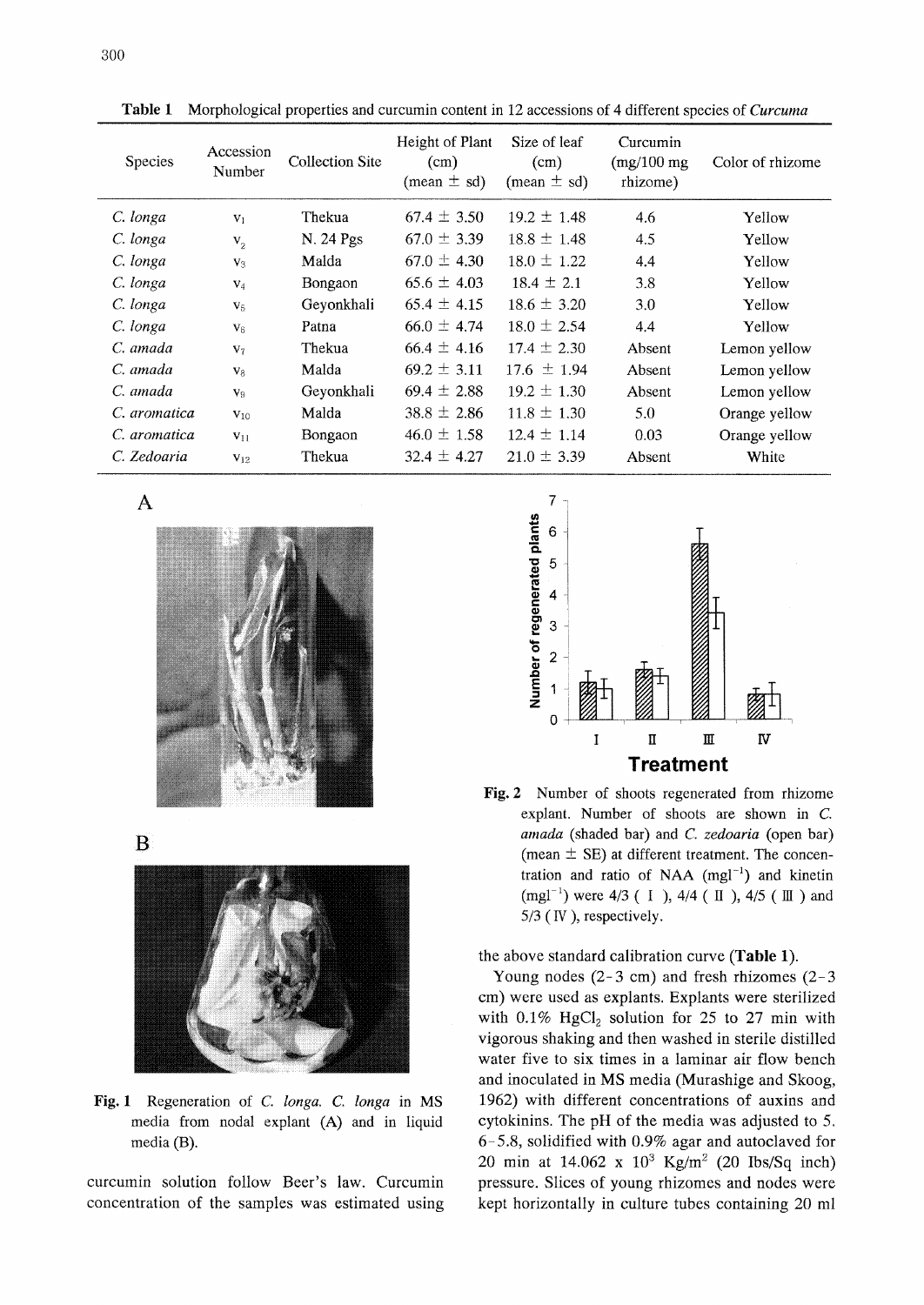| Species      | Accession<br>Number | Collection Site | Height of Plant<br>$\text{(cm)}$<br>(mean $\pm$ sd) | Size of leaf<br>(cm)<br>$(mean \pm sd)$ | Curcumin<br>$(mg/100$ mg<br>rhizome) | Color of rhizome |
|--------------|---------------------|-----------------|-----------------------------------------------------|-----------------------------------------|--------------------------------------|------------------|
| C. longa     | $V_1$               | Thekua          | $67.4 \pm 3.50$                                     | $19.2 \pm 1.48$                         | 4.6                                  | Yellow           |
| C. longa     | $V_{2}$             | N. 24 Pgs       | $67.0 \pm 3.39$                                     | $18.8 \pm 1.48$                         | 4.5                                  | Yellow           |
| C. longa     | $V_3$               | Malda           | $67.0 \pm 4.30$                                     | $18.0 \pm 1.22$                         | 4.4                                  | Yellow           |
| C. longa     | $V_4$               | Bongaon         | $65.6 \pm 4.03$                                     | $18.4 \pm 2.1$                          | 3.8                                  | Yellow           |
| C. longa     | V <sub>5</sub>      | Geyonkhali      | $65.4 \pm 4.15$                                     | $18.6 \pm 3.20$                         | 3.0                                  | Yellow           |
| C. longa     | $V_6$               | Patna           | $66.0 \pm 4.74$                                     | $18.0 \pm 2.54$                         | 4.4                                  | Yellow           |
| C. amada     | V <sub>7</sub>      | Thekua          | $66.4 \pm 4.16$                                     | $17.4 \pm 2.30$                         | Absent                               | Lemon yellow     |
| C. amada     | $V_8$               | Malda           | $69.2 \pm 3.11$                                     | $17.6 \pm 1.94$                         | Absent                               | Lemon yellow     |
| C. amada     | V9                  | Geyonkhali      | $69.4 \pm 2.88$                                     | $19.2 \pm 1.30$                         | Absent                               | Lemon yellow     |
| C. aromatica | $V_{10}$            | Malda           | $38.8 \pm 2.86$                                     | $11.8 \pm 1.30$                         | 5.0                                  | Orange yellow    |
| C. aromatica | $V_{11}$            | Bongaon         | $46.0 \pm 1.58$                                     | $12.4 \pm 1.14$                         | 0.03                                 | Orange yellow    |
| C. Zedoaria  | $V_{12}$            | Thekua          | $32.4 \pm 4.27$                                     | $21.0 \pm 3.39$                         | Absent                               | White            |

Table 1 Morphological properties and curcumin content in 12 accessions of 4 different species of *Curcuma* 

A



B



Fig. I Regeneration of C. Ionga. C. Ionga in MS media from nodal explant (A) and in liquid media (B).

curcumin solution follow Beer's law. Curcumin concentration of the samples was estimated using



Fig. 2 Number of shoots regenerated from rhizome explant. Number of shoots are shown in C. amada (shaded bar) and C. zedoaria (open bar) (mean  $\pm$  SE) at different treatment. The concentration and ratio of NAA  $(mgl^{-1})$  and kinetin (mgl<sup>-1</sup>) were  $4/3$  ( I ),  $4/4$  ( II ),  $4/5$  ( III ) and 5/3 (IV ), respectively.

the above standard calibration curve (Table 1).

Young nodes  $(2-3 \text{ cm})$  and fresh rhizomes  $(2-3 \text{ cm})$ cm) were used as explants. Explants were sterilized with  $0.1\%$  HgCl<sub>2</sub> solution for 25 to 27 min with vigorous shaking and then washed in sterile distilled water five to six times in a laminar air flow bench and inoculated in MS media (Murashige and Skoog, 1962) with different concentrations of auxins and cytokinins. The pH of the media was adjusted to 5. 6-5.8, solidified with 0.9% agar and autoclaved for 20 min at 14.062 x  $10^3$  Kg/m<sup>2</sup> (20 Ibs/Sq inch) pressure. Slices of young rhizomes and nodes were kept horizontally in culture tubes containing 20 ml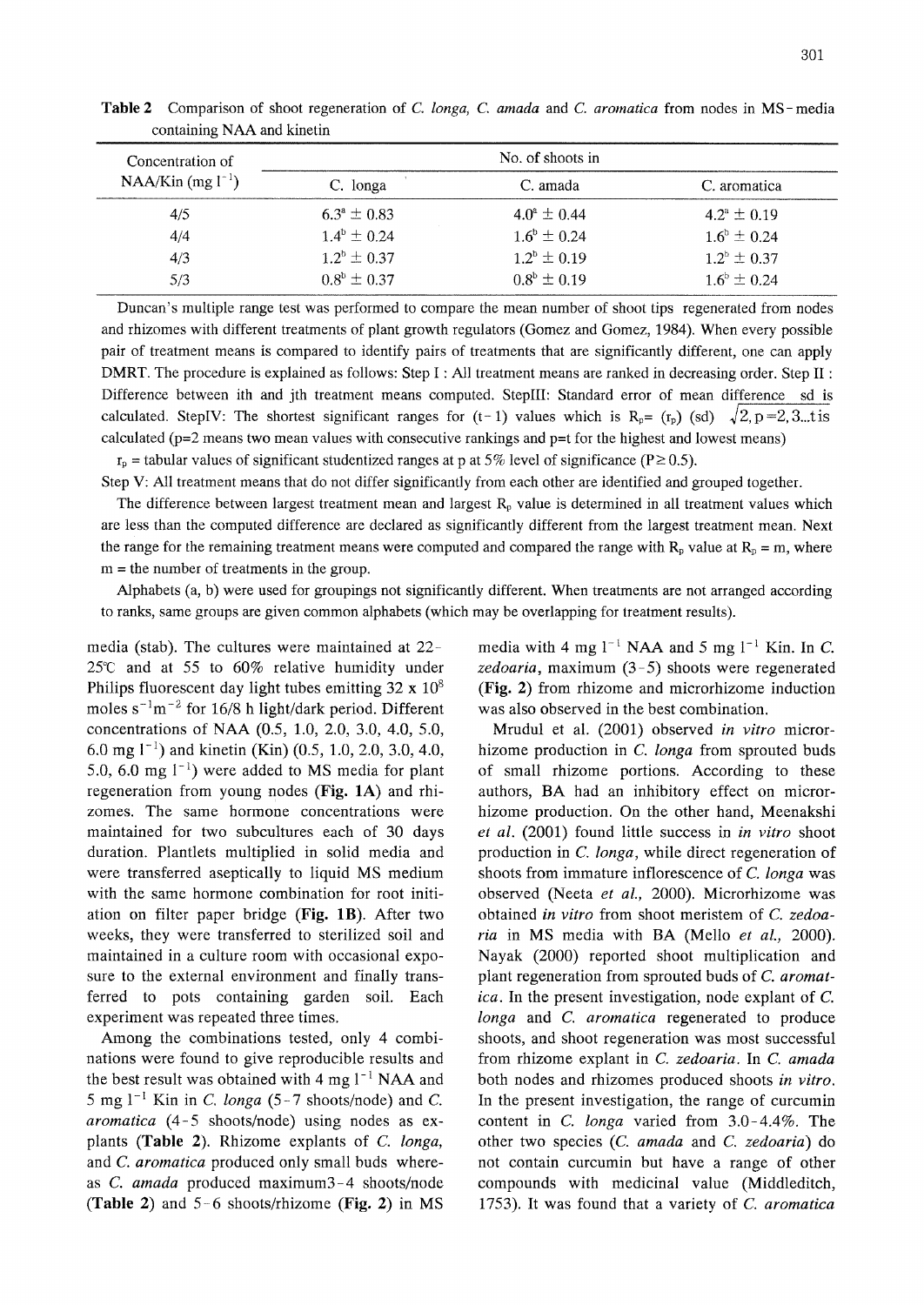| Concentration of      |                        | No. of shoots in       |                        |
|-----------------------|------------------------|------------------------|------------------------|
| NAA/Kin $(mg l^{-1})$ | C. longa               | C. amada               | C. aromatica           |
| 4/5                   | $6.3^{\circ} \pm 0.83$ | $4.0^{\circ} \pm 0.44$ | $4.2^{\circ} \pm 0.19$ |
| 4/4                   | $1.4^{\rm b} \pm 0.24$ | $1.6^{\circ} \pm 0.24$ | $1.6^{\circ} \pm 0.24$ |
| 4/3                   | $1.2^b \pm 0.37$       | $1.2^b \pm 0.19$       | $1.2^{\circ} \pm 0.37$ |
| 5/3                   | $0.8^{\rm b} \pm 0.37$ | $0.8^b \pm 0.19$       | $1.6^{\circ} \pm 0.24$ |

Table 2 Comparison of shoot regeneration of C. longa, C. amada and C. aromatica from nodes in MS-media containing NAA and kinetin

Duncan's multiple range test was performed to compare the mean number of shoot tips regenerated from nodes and rhizomes with different treatments of plant growth regulators (Gomez and Gomez, 1984). When every possible pair of treatment means is compared to identify pairs of treatments that are significantly different, one can apply DMRT. The procedure is explained as follows: Step I: All treatment means are ranked in decreasing order. Step II: Difference between ith and jth treatment means computed. StepIII: Standard error of mean difference sd is calculated. StepIV: The shortest significant ranges for  $(t-1)$  values which is R<sub>p</sub>=  $(r_p)$  (sd)  $\sqrt{2}$ , p=2, 3...t is calculated ( $p=2$  means two mean values with consecutive rankings and  $p=t$  for the highest and lowest means)

 $r_{\rm p}$  = tabular values of significant studentized ranges at p at 5% level of significance (P  $\geq$  0.5).

Step V: All treatment means that do not differ significantly from each other are identified and grouped together.

The difference between largest treatment mean and largest  $R<sub>p</sub>$  value is determined in all treatment values which are less than the computed difference are declared as significantly different from the largest treatment mean. Next the range for the remaining treatment means were computed and compared the range with  $R_p$  value at  $R_p = m$ , where m <sup>=</sup> the number of treatments in the group.

Alphabets (a, b) were used for groupings not significantly different. When treatments are not arranged according to ranks, same groups are given common alphabets (which may be overlapping for treatment results).

media (stab). The cultures were maintained at 22 25'C and at 55 to 60% relative humidity under Philips fluorescent day light tubes emitting  $32 \times 10^8$ moles  $s^{-1}m^{-2}$  for 16/8 h light/dark period. Different concentrations of NAA (0.5, 1.0, 2.0, 3.0, 4.0, 5.0, 6.0 mg  $1^{-1}$ ) and kinetin (Kin) (0.5, 1.0, 2.0, 3.0, 4.0, 5.0, 6.0 mg  $1^{-1}$ ) were added to MS media for plant regeneration from young nodes (Fig. IA) and rhizomes. The same hormone concentrations were maintained for two subcultures each of 30 days duration. Plantlets multiplied in solid media and were transferred aseptically to liquid MS medium with the same hormone combination for root initiation on filter paper bridge (Fig. IB). After two weeks, they were transferred to sterilized soil and maintained in a culture room with occasional exposure to the external environment and finally transferred to pots containing garden soil. Each experiment was repeated three times.

Among the combinations tested, only 4 combinations were found to give reproducible results and the best result was obtained with 4 mg  $1^{-1}$  NAA and  $5 \text{ mg } 1^{-1}$  Kin in C. longa (5-7 shoots/node) and C. aromatica  $(4-5$  shoots/node) using nodes as explants (Table 2). Rhizome explants of C. Ionga, and C. aromatica produced only small buds whereas  $C$ . amada produced maximum $3-4$  shoots/node (Table 2) and  $5-6$  shoots/rhizome (Fig. 2) in MS

media with 4 mg  $l^{-1}$  NAA and 5 mg  $l^{-1}$  Kin. In C. zedoaria, maximum (3-5) shoots were regenerated (Fig. 2) from rhizome and microrhizome induction was also observed in the best combination.

Mrudul et al. (2001) observed in vitro microrhizome production in C. Ionga from sprouted buds of small rhizome portions. According to these authors, BA had an inhibitory effect on microrhizome production. On the other hand, Meenakshi et al. (2001) found little success in in yitro shoot production in C. Ionga, while direct regeneration of shoots from immature inflorescence of C. Ionga was observed (Neeta et al., 2000). Microrhizome was obtained in vitro from shoot meristem of C, zedoaria in MS media with BA (Mello et al., 2000). Nayak (2000) reported shoot multiplication and plant regeneration from sprouted buds of C. aromatica. In the present investigation, node explant of C. longa and C. aromatica regenerated to produce shoots, and shoot regeneration was most successful from rhizome explant in C. zedoaria. In C, amada both nodes and rhizomes produced shoots in vitro. In the present investigation, the range of curcumin content in C. longa varied from  $3.0-4.4\%$ . The other two species (C. amada and C, zedoaria) do not contain curcumin but have a range of other compounds with medicinal value (Middleditch, 1753). It was found that a variety of C. aromatica